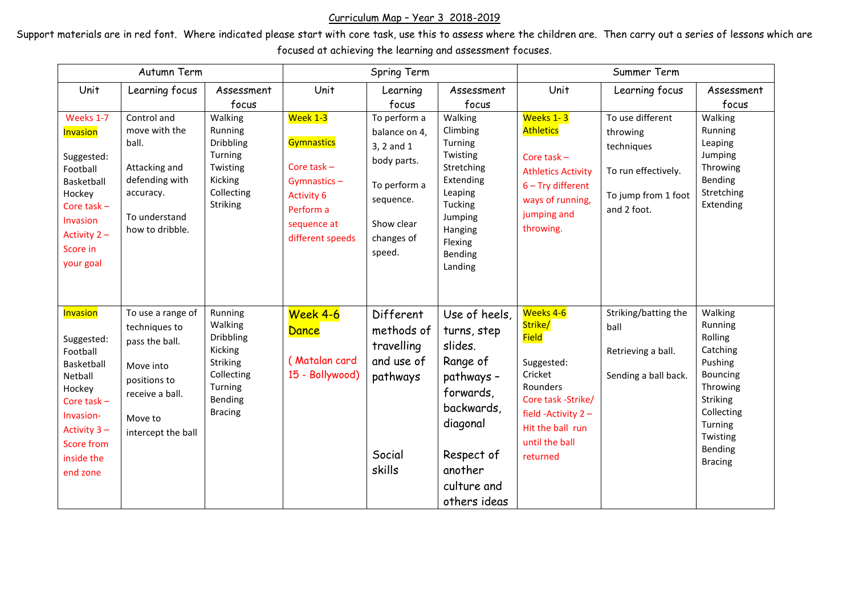## Curriculum Map – Year 3 2018-2019

Support materials are in red font. Where indicated please start with core task, use this to assess where the children are. Then carry out a series of lessons which are focused at achieving the learning and assessment focuses.

| Autumn Term                                                                                                                                                              |                                                                                                                                       |                                                                                                              | Spring Term                                                                                                                        |                                                                                                                               |                                                                                                                                                                  | Summer Term                                                                                                                                                                 |                                                                                                         |                                                                                                                                                                   |
|--------------------------------------------------------------------------------------------------------------------------------------------------------------------------|---------------------------------------------------------------------------------------------------------------------------------------|--------------------------------------------------------------------------------------------------------------|------------------------------------------------------------------------------------------------------------------------------------|-------------------------------------------------------------------------------------------------------------------------------|------------------------------------------------------------------------------------------------------------------------------------------------------------------|-----------------------------------------------------------------------------------------------------------------------------------------------------------------------------|---------------------------------------------------------------------------------------------------------|-------------------------------------------------------------------------------------------------------------------------------------------------------------------|
| Unit                                                                                                                                                                     | Learning focus                                                                                                                        | Assessment<br>focus                                                                                          | Unit                                                                                                                               | Learning<br>focus                                                                                                             | Assessment<br>focus                                                                                                                                              | Unit                                                                                                                                                                        | Learning focus                                                                                          | Assessment<br>focus                                                                                                                                               |
| Weeks 1-7<br><b>Invasion</b><br>Suggested:<br>Football<br>Basketball<br>Hockey<br>Core task $-$<br>Invasion<br>Activity $2 -$<br>Score in<br>your goal                   | Control and<br>move with the<br>ball.<br>Attacking and<br>defending with<br>accuracy.<br>To understand<br>how to dribble.             | Walking<br>Running<br><b>Dribbling</b><br>Turning<br>Twisting<br>Kicking<br>Collecting<br>Striking           | Week 1-3<br><b>Gymnastics</b><br>Core task $-$<br>Gymnastics-<br><b>Activity 6</b><br>Perform a<br>sequence at<br>different speeds | To perform a<br>balance on 4,<br>3, 2 and 1<br>body parts.<br>To perform a<br>sequence.<br>Show clear<br>changes of<br>speed. | Walking<br>Climbing<br>Turning<br>Twisting<br>Stretching<br>Extending<br>Leaping<br>Tucking<br>Jumping<br>Hanging<br>Flexing<br>Bending<br>Landing               | Weeks 1-3<br><b>Athletics</b><br>Core task -<br><b>Athletics Activity</b><br>$6 - Try$ different<br>ways of running,<br>jumping and<br>throwing.                            | To use different<br>throwing<br>techniques<br>To run effectively.<br>To jump from 1 foot<br>and 2 foot. | Walking<br>Running<br>Leaping<br>Jumping<br>Throwing<br>Bending<br>Stretching<br>Extending                                                                        |
| <b>Invasion</b><br>Suggested:<br>Football<br>Basketball<br>Netball<br>Hockey<br>Core task-<br>Invasion-<br>Activity $3 -$<br><b>Score from</b><br>inside the<br>end zone | To use a range of<br>techniques to<br>pass the ball.<br>Move into<br>positions to<br>receive a ball.<br>Move to<br>intercept the ball | Running<br>Walking<br>Dribbling<br>Kicking<br>Striking<br>Collecting<br>Turning<br>Bending<br><b>Bracing</b> | Week 4-6<br>Dance<br>(Matalan card<br>15 - Bollywood)                                                                              | Different<br>methods of<br>travelling<br>and use of<br>pathways<br>Social<br>skills                                           | Use of heels,<br>turns, step<br>slides.<br>Range of<br>pathways -<br>forwards,<br>backwards,<br>diagonal<br>Respect of<br>another<br>culture and<br>others ideas | Weeks 4-6<br>Strike/<br><b>Field</b><br>Suggested:<br>Cricket<br>Rounders<br>Core task -Strike/<br>field - Activity $2 -$<br>Hit the ball run<br>until the ball<br>returned | Striking/batting the<br>ball<br>Retrieving a ball.<br>Sending a ball back.                              | Walking<br>Running<br>Rolling<br>Catching<br>Pushing<br><b>Bouncing</b><br>Throwing<br>Striking<br>Collecting<br>Turning<br>Twisting<br>Bending<br><b>Bracing</b> |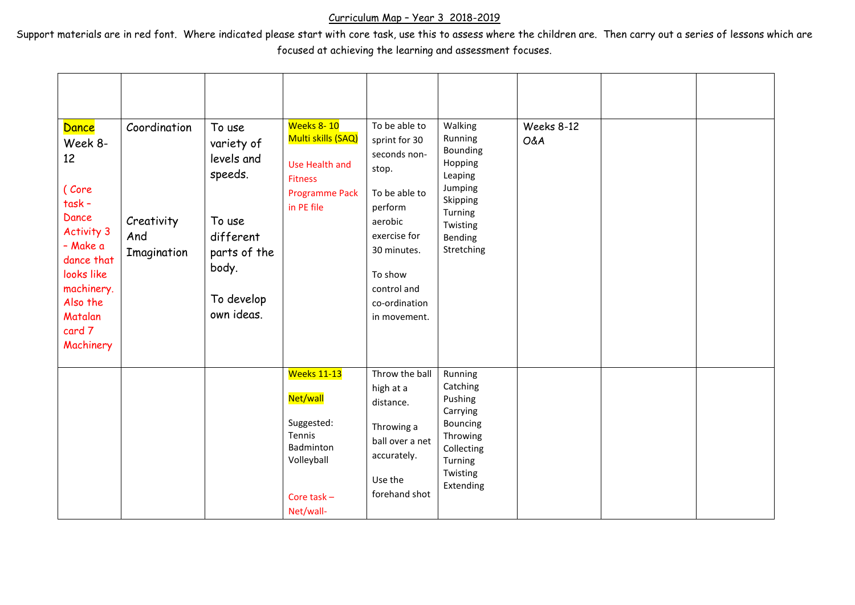## Curriculum Map – Year 3 2018-2019

Support materials are in red font. Where indicated please start with core task, use this to assess where the children are. Then carry out a series of lessons which are focused at achieving the learning and assessment focuses.

| Dance<br>Week 8-<br>12<br>(Core<br>task-<br>Dance<br><b>Activity 3</b><br>- Make a<br>dance that<br>looks like<br>machinery.<br>Also the<br>Matalan<br>card 7<br>Machinery | Coordination<br>Creativity<br>And<br>Imagination | To use<br>variety of<br>levels and<br>speeds.<br>To use<br>different<br>parts of the<br>body.<br>To develop<br>own ideas. | Weeks 8-10<br>Multi skills (SAQ)<br>Use Health and<br><b>Fitness</b><br><b>Programme Pack</b><br>in PE file     | To be able to<br>sprint for 30<br>seconds non-<br>stop.<br>To be able to<br>perform<br>aerobic<br>exercise for<br>30 minutes.<br>To show<br>control and<br>co-ordination<br>in movement. | Walking<br>Running<br>Bounding<br>Hopping<br>Leaping<br>Jumping<br>Skipping<br>Turning<br>Twisting<br>Bending<br>Stretching | Weeks 8-12<br>O&A |  |
|----------------------------------------------------------------------------------------------------------------------------------------------------------------------------|--------------------------------------------------|---------------------------------------------------------------------------------------------------------------------------|-----------------------------------------------------------------------------------------------------------------|------------------------------------------------------------------------------------------------------------------------------------------------------------------------------------------|-----------------------------------------------------------------------------------------------------------------------------|-------------------|--|
|                                                                                                                                                                            |                                                  |                                                                                                                           | <b>Weeks 11-13</b><br>Net/wall<br>Suggested:<br>Tennis<br>Badminton<br>Volleyball<br>Core task $-$<br>Net/wall- | Throw the ball<br>high at a<br>distance.<br>Throwing a<br>ball over a net<br>accurately.<br>Use the<br>forehand shot                                                                     | Running<br>Catching<br>Pushing<br>Carrying<br>Bouncing<br>Throwing<br>Collecting<br>Turning<br>Twisting<br>Extending        |                   |  |